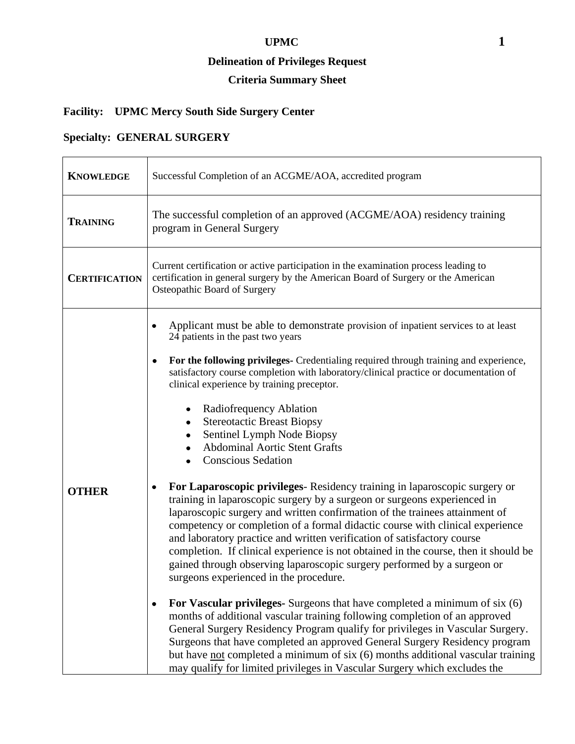#### **UPMC 1**

#### **Delineation of Privileges Request**

# **Criteria Summary Sheet**

# **Facility: UPMC Mercy South Side Surgery Center**

# **Specialty: GENERAL SURGERY**

| <b>KNOWLEDGE</b>     | Successful Completion of an ACGME/AOA, accredited program                                                                                                                                                                                                                                                                                                                                                                                                                                                                                                                                                                                                                                                                                                                                                                                                                                                                                                                                                                                                                                                                                                                                                                                                                                                                                                                                                                                                                                                                                                                                                                                                           |
|----------------------|---------------------------------------------------------------------------------------------------------------------------------------------------------------------------------------------------------------------------------------------------------------------------------------------------------------------------------------------------------------------------------------------------------------------------------------------------------------------------------------------------------------------------------------------------------------------------------------------------------------------------------------------------------------------------------------------------------------------------------------------------------------------------------------------------------------------------------------------------------------------------------------------------------------------------------------------------------------------------------------------------------------------------------------------------------------------------------------------------------------------------------------------------------------------------------------------------------------------------------------------------------------------------------------------------------------------------------------------------------------------------------------------------------------------------------------------------------------------------------------------------------------------------------------------------------------------------------------------------------------------------------------------------------------------|
| <b>TRAINING</b>      | The successful completion of an approved (ACGME/AOA) residency training<br>program in General Surgery                                                                                                                                                                                                                                                                                                                                                                                                                                                                                                                                                                                                                                                                                                                                                                                                                                                                                                                                                                                                                                                                                                                                                                                                                                                                                                                                                                                                                                                                                                                                                               |
| <b>CERTIFICATION</b> | Current certification or active participation in the examination process leading to<br>certification in general surgery by the American Board of Surgery or the American<br>Osteopathic Board of Surgery                                                                                                                                                                                                                                                                                                                                                                                                                                                                                                                                                                                                                                                                                                                                                                                                                                                                                                                                                                                                                                                                                                                                                                                                                                                                                                                                                                                                                                                            |
| <b>OTHER</b>         | Applicant must be able to demonstrate provision of inpatient services to at least<br>24 patients in the past two years<br>For the following privileges- Credentialing required through training and experience,<br>٠<br>satisfactory course completion with laboratory/clinical practice or documentation of<br>clinical experience by training preceptor.<br>Radiofrequency Ablation<br>٠<br><b>Stereotactic Breast Biopsy</b><br>٠<br>Sentinel Lymph Node Biopsy<br><b>Abdominal Aortic Stent Grafts</b><br><b>Conscious Sedation</b><br>For Laparoscopic privileges-Residency training in laparoscopic surgery or<br>٠<br>training in laparoscopic surgery by a surgeon or surgeons experienced in<br>laparoscopic surgery and written confirmation of the trainees attainment of<br>competency or completion of a formal didactic course with clinical experience<br>and laboratory practice and written verification of satisfactory course<br>completion. If clinical experience is not obtained in the course, then it should be<br>gained through observing laparoscopic surgery performed by a surgeon or<br>surgeons experienced in the procedure.<br>For Vascular privileges- Surgeons that have completed a minimum of six (6)<br>٠<br>months of additional vascular training following completion of an approved<br>General Surgery Residency Program qualify for privileges in Vascular Surgery.<br>Surgeons that have completed an approved General Surgery Residency program<br>but have <u>not</u> completed a minimum of six (6) months additional vascular training<br>may qualify for limited privileges in Vascular Surgery which excludes the |